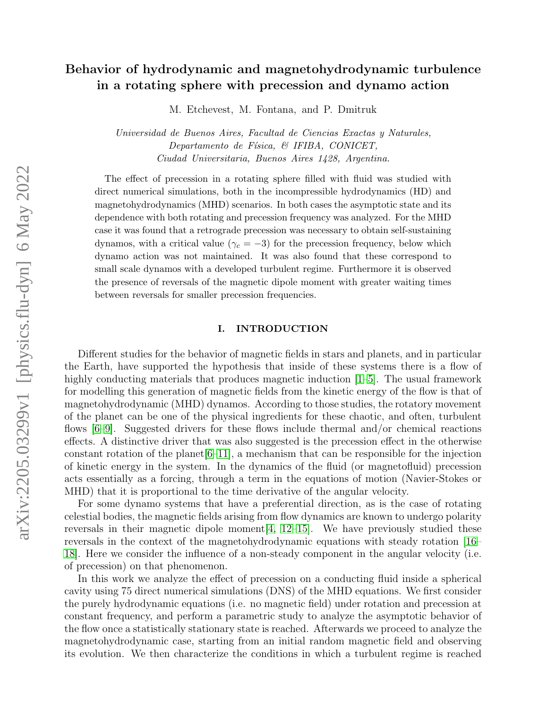# Behavior of hydrodynamic and magnetohydrodynamic turbulence in a rotating sphere with precession and dynamo action

M. Etchevest, M. Fontana, and P. Dmitruk

Universidad de Buenos Aires, Facultad de Ciencias Exactas y Naturales, Departamento de Física,  $\mathcal B$  IFIBA, CONICET, Ciudad Universitaria, Buenos Aires 1428, Argentina.

The effect of precession in a rotating sphere filled with fluid was studied with direct numerical simulations, both in the incompressible hydrodynamics (HD) and magnetohydrodynamics (MHD) scenarios. In both cases the asymptotic state and its dependence with both rotating and precession frequency was analyzed. For the MHD case it was found that a retrograde precession was necessary to obtain self-sustaining dynamos, with a critical value ( $\gamma_c = -3$ ) for the precession frequency, below which dynamo action was not maintained. It was also found that these correspond to small scale dynamos with a developed turbulent regime. Furthermore it is observed the presence of reversals of the magnetic dipole moment with greater waiting times between reversals for smaller precession frequencies.

# I. INTRODUCTION

Different studies for the behavior of magnetic fields in stars and planets, and in particular the Earth, have supported the hypothesis that inside of these systems there is a flow of highly conducting materials that produces magnetic induction [\[1](#page-12-0)[–5\]](#page-12-1). The usual framework for modelling this generation of magnetic fields from the kinetic energy of the flow is that of magnetohydrodynamic (MHD) dynamos. According to those studies, the rotatory movement of the planet can be one of the physical ingredients for these chaotic, and often, turbulent flows [\[6–](#page-12-2)[9\]](#page-13-0). Suggested drivers for these flows include thermal and/or chemical reactions effects. A distinctive driver that was also suggested is the precession effect in the otherwise constant rotation of the planet  $[6-11]$  $[6-11]$ , a mechanism that can be responsible for the injection of kinetic energy in the system. In the dynamics of the fluid (or magnetofluid) precession acts essentially as a forcing, through a term in the equations of motion (Navier-Stokes or MHD) that it is proportional to the time derivative of the angular velocity.

For some dynamo systems that have a preferential direction, as is the case of rotating celestial bodies, the magnetic fields arising from flow dynamics are known to undergo polarity reversals in their magnetic dipole moment  $[4, 12$  $[4, 12$ -15. We have previously studied these reversals in the context of the magnetohydrodynamic equations with steady rotation [\[16–](#page-13-4) [18\]](#page-13-5). Here we consider the influence of a non-steady component in the angular velocity (i.e. of precession) on that phenomenon.

In this work we analyze the effect of precession on a conducting fluid inside a spherical cavity using 75 direct numerical simulations (DNS) of the MHD equations. We first consider the purely hydrodynamic equations (i.e. no magnetic field) under rotation and precession at constant frequency, and perform a parametric study to analyze the asymptotic behavior of the flow once a statistically stationary state is reached. Afterwards we proceed to analyze the magnetohydrodynamic case, starting from an initial random magnetic field and observing its evolution. We then characterize the conditions in which a turbulent regime is reached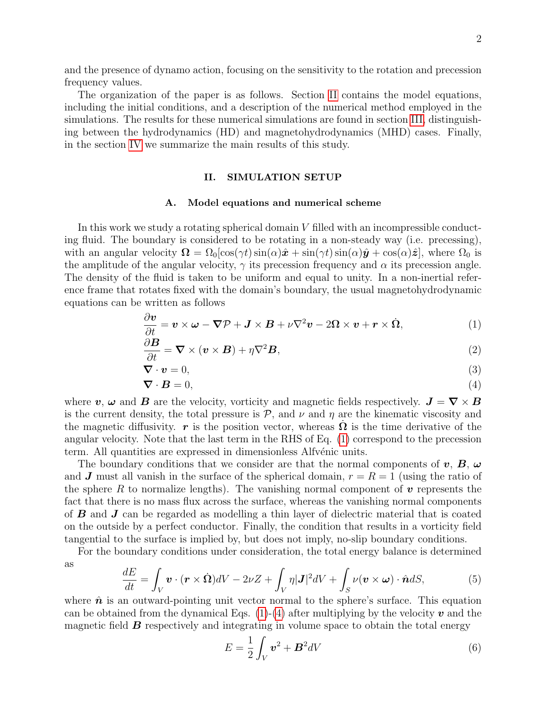The organization of the paper is as follows. Section [II](#page-1-0) contains the model equations, including the initial conditions, and a description of the numerical method employed in the simulations. The results for these numerical simulations are found in section [III,](#page-5-0) distinguishing between the hydrodynamics (HD) and magnetohydrodynamics (MHD) cases. Finally, in the section [IV](#page-11-0) we summarize the main results of this study.

# <span id="page-1-4"></span><span id="page-1-1"></span><span id="page-1-0"></span>II. SIMULATION SETUP

#### A. Model equations and numerical scheme

In this work we study a rotating spherical domain  $V$  filled with an incompressible conducting fluid. The boundary is considered to be rotating in a non-steady way (i.e. precessing), with an angular velocity  $\Omega = \Omega_0[\cos(\gamma t)\sin(\alpha)\hat{x} + \sin(\gamma t)\sin(\alpha)\hat{y} + \cos(\alpha)\hat{z}]$ , where  $\Omega_0$  is the amplitude of the angular velocity,  $\gamma$  its precession frequency and  $\alpha$  its precession angle. The density of the fluid is taken to be uniform and equal to unity. In a non-inertial reference frame that rotates fixed with the domain's boundary, the usual magnetohydrodynamic equations can be written as follows

$$
\frac{\partial v}{\partial t} = v \times \omega - \nabla \mathcal{P} + \mathbf{J} \times \mathbf{B} + \nu \nabla^2 v - 2\Omega \times v + \mathbf{r} \times \dot{\Omega}, \tag{1}
$$

$$
\frac{\partial \mathbf{B}}{\partial t} = \mathbf{\nabla} \times (\mathbf{v} \times \mathbf{B}) + \eta \nabla^2 \mathbf{B},\tag{2}
$$

$$
\nabla \cdot \mathbf{v} = 0,\tag{3}
$$

<span id="page-1-2"></span>
$$
\nabla \cdot \mathbf{B} = 0,\tag{4}
$$

where v,  $\omega$  and B are the velocity, vorticity and magnetic fields respectively.  $J = \nabla \times B$ is the current density, the total pressure is  $P$ , and  $\nu$  and  $\eta$  are the kinematic viscosity and the magnetic diffusivity. r is the position vector, whereas  $\dot{\Omega}$  is the time derivative of the angular velocity. Note that the last term in the RHS of Eq. [\(1\)](#page-1-1) correspond to the precession term. All quantities are expressed in dimensionless Alfvénic units.

The boundary conditions that we consider are that the normal components of  $v, B, \omega$ and J must all vanish in the surface of the spherical domain,  $r = R = 1$  (using the ratio of the sphere R to normalize lengths). The vanishing normal component of  $\bf{v}$  represents the fact that there is no mass flux across the surface, whereas the vanishing normal components of B and J can be regarded as modelling a thin layer of dielectric material that is coated on the outside by a perfect conductor. Finally, the condition that results in a vorticity field tangential to the surface is implied by, but does not imply, no-slip boundary conditions.

For the boundary conditions under consideration, the total energy balance is determined as

<span id="page-1-3"></span>
$$
\frac{dE}{dt} = \int_{V} \boldsymbol{v} \cdot (\boldsymbol{r} \times \dot{\boldsymbol{\Omega}}) dV - 2\nu Z + \int_{V} \eta |\boldsymbol{J}|^{2} dV + \int_{S} \nu(\boldsymbol{v} \times \boldsymbol{\omega}) \cdot \hat{\boldsymbol{n}} dS, \tag{5}
$$

where  $\hat{\boldsymbol{n}}$  is an outward-pointing unit vector normal to the sphere's surface. This equation can be obtained from the dynamical Eqs.  $(1)-(4)$  $(1)-(4)$  $(1)-(4)$  after multiplying by the velocity v and the magnetic field  $\boldsymbol{B}$  respectively and integrating in volume space to obtain the total energy

$$
E = \frac{1}{2} \int_{V} \boldsymbol{v}^2 + \boldsymbol{B}^2 dV \tag{6}
$$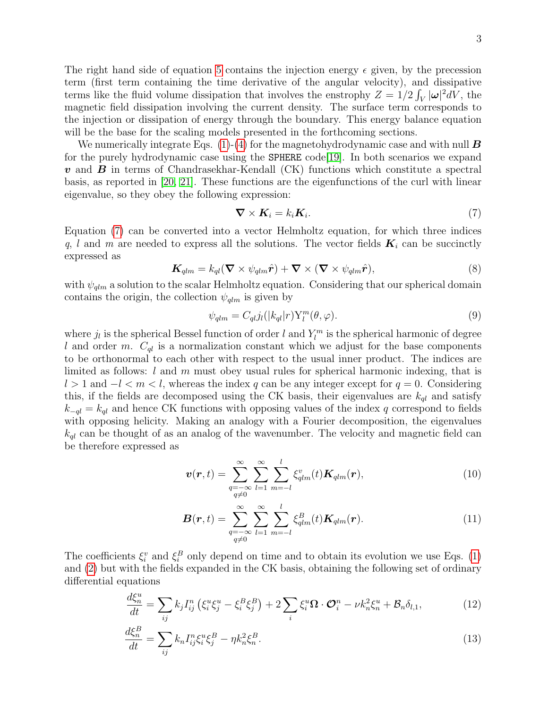The right hand side of equation [5](#page-1-3) contains the injection energy  $\epsilon$  given, by the precession term (first term containing the time derivative of the angular velocity), and dissipative terms like the fluid volume dissipation that involves the enstrophy  $Z = 1/2 \int_V |\omega|^2 dV$ , the magnetic field dissipation involving the current density. The surface term corresponds to the injection or dissipation of energy through the boundary. This energy balance equation will be the base for the scaling models presented in the forthcoming sections.

We numerically integrate Eqs. [\(1\)](#page-1-1)-[\(4\)](#page-1-2) for the magnetohydrodynamic case and with null  $\bm{B}$ for the purely hydrodynamic case using the SPHERE code [\[19\]](#page-13-6). In both scenarios we expand  $\boldsymbol{v}$  and  $\boldsymbol{B}$  in terms of Chandrasekhar-Kendall (CK) functions which constitute a spectral basis, as reported in [\[20,](#page-13-7) [21\]](#page-13-8). These functions are the eigenfunctions of the curl with linear eigenvalue, so they obey the following expression:

<span id="page-2-0"></span>
$$
\nabla \times \boldsymbol{K}_i = k_i \boldsymbol{K}_i. \tag{7}
$$

Equation [\(7\)](#page-2-0) can be converted into a vector Helmholtz equation, for which three indices q, l and m are needed to express all the solutions. The vector fields  $K_i$  can be succinctly expressed as

$$
\boldsymbol{K}_{qlm} = k_{ql} (\boldsymbol{\nabla} \times \psi_{qlm} \hat{\boldsymbol{r}}) + \boldsymbol{\nabla} \times (\boldsymbol{\nabla} \times \psi_{qlm} \hat{\boldsymbol{r}}), \tag{8}
$$

with  $\psi_{qlm}$  a solution to the scalar Helmholtz equation. Considering that our spherical domain contains the origin, the collection  $\psi_{\text{qlm}}$  is given by

$$
\psi_{qlm} = C_{ql} j_l(|k_{ql}|r) Y_l^m(\theta, \varphi).
$$
\n(9)

where  $j_l$  is the spherical Bessel function of order l and  $Y_l^m$  is the spherical harmonic of degree l and order m.  $C_{ql}$  is a normalization constant which we adjust for the base components to be orthonormal to each other with respect to the usual inner product. The indices are limited as follows:  $l$  and  $m$  must obey usual rules for spherical harmonic indexing, that is  $l > 1$  and  $-l < m < l$ , whereas the index q can be any integer except for  $q = 0$ . Considering this, if the fields are decomposed using the CK basis, their eigenvalues are  $k_{ql}$  and satisfy  $k_{-ql} = k_{ql}$  and hence CK functions with opposing values of the index q correspond to fields with opposing helicity. Making an analogy with a Fourier decomposition, the eigenvalues  $k_{ql}$  can be thought of as an analog of the wavenumber. The velocity and magnetic field can be therefore expressed as

$$
\boldsymbol{v}(\boldsymbol{r},t) = \sum_{\substack{q=-\infty\\q\neq 0}}^{\infty} \sum_{l=1}^{\infty} \sum_{m=-l}^{l} \xi_{qlm}^{v}(t) \boldsymbol{K}_{qlm}(\boldsymbol{r}), \qquad (10)
$$

<span id="page-2-2"></span><span id="page-2-1"></span>
$$
\boldsymbol{B}(\boldsymbol{r},t) = \sum_{\substack{q=-\infty\\q\neq 0}}^{\infty} \sum_{l=1}^{\infty} \sum_{m=-l}^{l} \xi_{qlm}^{B}(t) \boldsymbol{K}_{qlm}(\boldsymbol{r}). \tag{11}
$$

The coefficients  $\xi_i^v$  and  $\xi_i^B$  only depend on time and to obtain its evolution we use Eqs. [\(1\)](#page-1-1) and [\(2\)](#page-1-4) but with the fields expanded in the CK basis, obtaining the following set of ordinary differential equations

$$
\frac{d\xi_n^u}{dt} = \sum_{ij} k_j I_{ij}^n \left( \xi_i^u \xi_j^u - \xi_i^B \xi_j^B \right) + 2 \sum_i \xi_i^u \Omega \cdot \mathcal{O}_i^n - \nu k_n^2 \xi_n^u + \mathcal{B}_n \delta_{l,1},\tag{12}
$$

$$
\frac{d\xi_n^B}{dt} = \sum_{ij} k_n I_{ij}^n \xi_i^u \xi_j^B - \eta k_n^2 \xi_n^B. \tag{13}
$$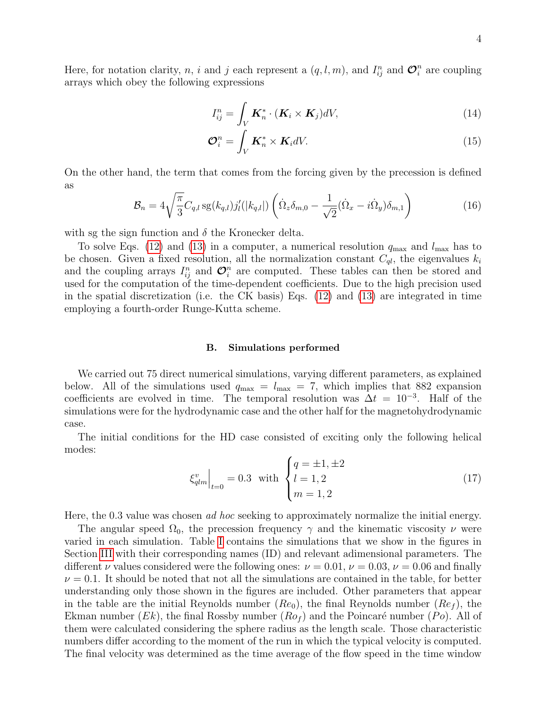Here, for notation clarity, n, i and j each represent a  $(q, l, m)$ , and  $I_{ij}^n$  and  $\mathcal{O}_i^n$  are coupling arrays which obey the following expressions

$$
I_{ij}^n = \int_V \boldsymbol{K}_n^* \cdot (\boldsymbol{K}_i \times \boldsymbol{K}_j) dV,
$$
\n(14)

$$
\mathcal{O}_i^n = \int_V \mathbf{K}_n^* \times \mathbf{K}_i dV. \tag{15}
$$

On the other hand, the term that comes from the forcing given by the precession is defined as

$$
\mathcal{B}_n = 4\sqrt{\frac{\pi}{3}} C_{q,l} \operatorname{sg}(k_{q,l}) j'_l(|k_{q,l}|) \left( \dot{\Omega}_z \delta_{m,0} - \frac{1}{\sqrt{2}} (\dot{\Omega}_x - i \dot{\Omega}_y) \delta_{m,1} \right)
$$
(16)

with sg the sign function and  $\delta$  the Kronecker delta.

To solve Eqs. [\(12\)](#page-2-1) and [\(13\)](#page-2-2) in a computer, a numerical resolution  $q_{\text{max}}$  and  $l_{\text{max}}$  has to be chosen. Given a fixed resolution, all the normalization constant  $C_{ql}$ , the eigenvalues  $k_i$ and the coupling arrays  $I_{ij}^n$  and  $\mathcal{O}_i^n$  are computed. These tables can then be stored and used for the computation of the time-dependent coefficients. Due to the high precision used in the spatial discretization (i.e. the CK basis) Eqs. [\(12\)](#page-2-1) and [\(13\)](#page-2-2) are integrated in time employing a fourth-order Runge-Kutta scheme.

#### B. Simulations performed

We carried out 75 direct numerical simulations, varying different parameters, as explained below. All of the simulations used  $q_{\text{max}} = l_{\text{max}} = 7$ , which implies that 882 expansion coefficients are evolved in time. The temporal resolution was  $\Delta t = 10^{-3}$ . Half of the simulations were for the hydrodynamic case and the other half for the magnetohydrodynamic case.

The initial conditions for the HD case consisted of exciting only the following helical modes:

$$
\xi_{qlm}^{v}\Big|_{t=0} = 0.3 \text{ with } \begin{cases} q = \pm 1, \pm 2\\ l = 1, 2\\ m = 1, 2 \end{cases}
$$
 (17)

Here, the 0.3 value was chosen *ad hoc* seeking to approximately normalize the initial energy.

The angular speed  $\Omega_0$ , the precession frequency  $\gamma$  and the kinematic viscosity  $\nu$  were varied in each simulation. Table [I](#page-4-0) contains the simulations that we show in the figures in Section [III](#page-5-0) with their corresponding names (ID) and relevant adimensional parameters. The different  $\nu$  values considered were the following ones:  $\nu = 0.01$ ,  $\nu = 0.03$ ,  $\nu = 0.06$  and finally  $\nu = 0.1$ . It should be noted that not all the simulations are contained in the table, for better understanding only those shown in the figures are included. Other parameters that appear in the table are the initial Reynolds number  $(Re_0)$ , the final Reynolds number  $(Re_f)$ , the Ekman number (*Ek*), the final Rossby number ( $Ro<sub>f</sub>$ ) and the Poincaré number (*Po*). All of them were calculated considering the sphere radius as the length scale. Those characteristic numbers differ according to the moment of the run in which the typical velocity is computed. The final velocity was determined as the time average of the flow speed in the time window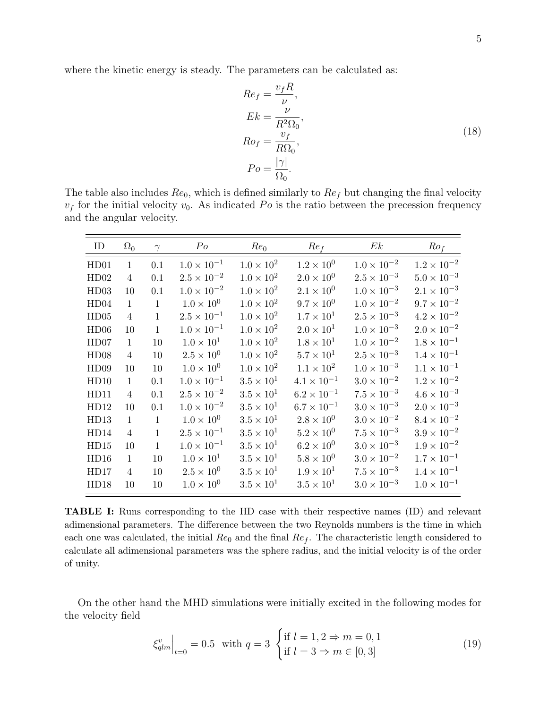where the kinetic energy is steady. The parameters can be calculated as:

$$
Re_f = \frac{v_f R}{\nu},
$$
  
\n
$$
Ek = \frac{\nu}{R^2 \Omega_0},
$$
  
\n
$$
Ro_f = \frac{v_f}{R \Omega_0},
$$
  
\n
$$
Po = \frac{|\gamma|}{\Omega_0}.
$$
\n(18)

The table also includes  $Re_0$ , which is defined similarly to  $Re_f$  but changing the final velocity  $v_f$  for the initial velocity  $v_0$ . As indicated Po is the ratio between the precession frequency and the angular velocity.

<span id="page-4-0"></span>

| ID   | $\Omega_0$     | $\gamma$     | $P_{O}$              | $Re_0$              | Re <sub>f</sub>      | Ek                   | Ro <sub>f</sub>      |
|------|----------------|--------------|----------------------|---------------------|----------------------|----------------------|----------------------|
| HD01 | $\mathbf{1}$   | 0.1          | $1.0 \times 10^{-1}$ | $1.0 \times 10^{2}$ | $1.2\times10^{0}$    | $1.0 \times 10^{-2}$ | $1.2 \times 10^{-2}$ |
| HD02 | $\overline{4}$ | 0.1          | $2.5 \times 10^{-2}$ | $1.0 \times 10^{2}$ | $2.0 \times 10^{0}$  | $2.5 \times 10^{-3}$ | $5.0\times10^{-3}$   |
| HD03 | 10             | 0.1          | $1.0 \times 10^{-2}$ | $1.0 \times 10^{2}$ | $2.1\times10^{0}$    | $1.0 \times 10^{-3}$ | $2.1 \times 10^{-3}$ |
| HD04 | $\mathbf{1}$   | $\mathbf{1}$ | $1.0 \times 10^{0}$  | $1.0\times10^2$     | $9.7 \times 10^{0}$  | $1.0 \times 10^{-2}$ | $9.7 \times 10^{-2}$ |
| HD05 | 4              | $\mathbf{1}$ | $2.5 \times 10^{-1}$ | $1.0 \times 10^{2}$ | $1.7 \times 10^{1}$  | $2.5 \times 10^{-3}$ | $4.2\times10^{-2}$   |
| HD06 | 10             | $\mathbf{1}$ | $1.0 \times 10^{-1}$ | $1.0 \times 10^{2}$ | $2.0 \times 10^{1}$  | $1.0 \times 10^{-3}$ | $2.0 \times 10^{-2}$ |
| HD07 | $\mathbf{1}$   | 10           | $1.0\times10^{1}$    | $1.0 \times 10^{2}$ | $1.8 \times 10^{1}$  | $1.0 \times 10^{-2}$ | $1.8 \times 10^{-1}$ |
| HD08 | $\overline{4}$ | 10           | $2.5\times10^{0}$    | $1.0 \times 10^{2}$ | $5.7 \times 10^1$    | $2.5 \times 10^{-3}$ | $1.4 \times 10^{-1}$ |
| HD09 | 10             | 10           | $1.0 \times 10^{0}$  | $1.0 \times 10^{2}$ | $1.1 \times 10^{2}$  | $1.0 \times 10^{-3}$ | $1.1 \times 10^{-1}$ |
| HD10 | $\mathbf{1}$   | 0.1          | $1.0 \times 10^{-1}$ | $3.5 \times 10^1$   | $4.1 \times 10^{-1}$ | $3.0 \times 10^{-2}$ | $1.2\times10^{-2}$   |
| HD11 | $\overline{4}$ | 0.1          | $2.5 \times 10^{-2}$ | $3.5 \times 10^1$   | $6.2 \times 10^{-1}$ | $7.5 \times 10^{-3}$ | $4.6 \times 10^{-3}$ |
| HD12 | 10             | 0.1          | $1.0 \times 10^{-2}$ | $3.5 \times 10^1$   | $6.7\times10^{-1}$   | $3.0 \times 10^{-3}$ | $2.0 \times 10^{-3}$ |
| HD13 | $\mathbf{1}$   | $\mathbf{1}$ | $1.0 \times 10^{0}$  | $3.5\times10^1$     | $2.8 \times 10^{0}$  | $3.0 \times 10^{-2}$ | $8.4 \times 10^{-2}$ |
| HD14 | $\overline{4}$ | $\mathbf{1}$ | $2.5 \times 10^{-1}$ | $3.5 \times 10^1$   | $5.2\times10^{0}$    | $7.5 \times 10^{-3}$ | $3.9\times10^{-2}$   |
| HD15 | 10             | $\mathbf{1}$ | $1.0 \times 10^{-1}$ | $3.5 \times 10^1$   | $6.2 \times 10^{0}$  | $3.0 \times 10^{-3}$ | $1.9\times10^{-2}$   |
| HD16 | $\mathbf{1}$   | 10           | $1.0 \times 10^{1}$  | $3.5 \times 10^1$   | $5.8 \times 10^{0}$  | $3.0 \times 10^{-2}$ | $1.7 \times 10^{-1}$ |
| HD17 | $\overline{4}$ | 10           | $2.5 \times 10^{0}$  | $3.5 \times 10^1$   | $1.9 \times 10^{1}$  | $7.5 \times 10^{-3}$ | $1.4 \times 10^{-1}$ |
| HD18 | 10             | 10           | $1.0 \times 10^{0}$  | $3.5\times10^{1}$   | $3.5\times10^{1}$    | $3.0 \times 10^{-3}$ | $1.0 \times 10^{-1}$ |

TABLE I: Runs corresponding to the HD case with their respective names (ID) and relevant adimensional parameters. The difference between the two Reynolds numbers is the time in which each one was calculated, the initial  $Re_0$  and the final  $Re_f$ . The characteristic length considered to calculate all adimensional parameters was the sphere radius, and the initial velocity is of the order of unity.

On the other hand the MHD simulations were initially excited in the following modes for the velocity field

$$
\xi_{qlm}^{v}\Big|_{t=0} = 0.5 \text{ with } q=3 \text{ } \begin{cases} \text{if } l=1,2 \Rightarrow m=0,1\\ \text{if } l=3 \Rightarrow m \in [0,3] \end{cases}
$$
 (19)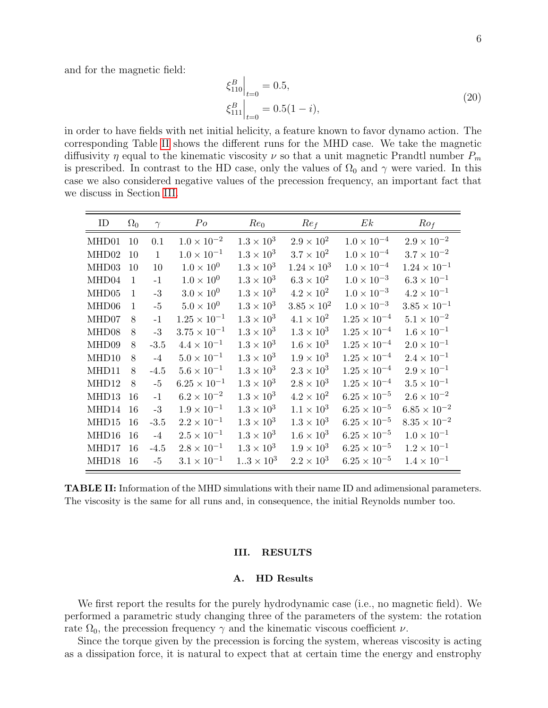and for the magnetic field:

$$
\xi_{110}^{B}\Big|_{t=0} = 0.5,
$$
\n
$$
\xi_{111}^{B}\Big|_{t=0} = 0.5(1-i),
$$
\n(20)

in order to have fields with net initial helicity, a feature known to favor dynamo action. The corresponding Table [II](#page-5-1) shows the different runs for the MHD case. We take the magnetic diffusivity  $\eta$  equal to the kinematic viscosity  $\nu$  so that a unit magnetic Prandtl number  $P_m$ is prescribed. In contrast to the HD case, only the values of  $\Omega_0$  and  $\gamma$  were varied. In this case we also considered negative values of the precession frequency, an important fact that we discuss in Section [III.](#page-5-0)

<span id="page-5-1"></span>

| ID    | $\Omega_0$   | $\gamma$     | $P_{O}$               | $Re_0$              | Re <sub>f</sub>      | Ek                    | Ro <sub>f</sub>       |
|-------|--------------|--------------|-----------------------|---------------------|----------------------|-----------------------|-----------------------|
| MHD01 | 10           | 0.1          | $1.0 \times 10^{-2}$  | $1.3 \times 10^{3}$ | $2.9 \times 10^{2}$  | $1.0 \times 10^{-4}$  | $2.9 \times 10^{-2}$  |
| MHD02 | 10           | $\mathbf{1}$ | $1.0 \times 10^{-1}$  | $1.3 \times 10^{3}$ | $3.7 \times 10^2$    | $1.0 \times 10^{-4}$  | $3.7 \times 10^{-2}$  |
| MHD03 | 10           | 10           | $1.0 \times 10^{0}$   | $1.3 \times 10^{3}$ | $1.24 \times 10^{3}$ | $1.0 \times 10^{-4}$  | $1.24 \times 10^{-1}$ |
| MHD04 | $\mathbf{1}$ | $-1$         | $1.0 \times 10^{0}$   | $1.3\times10^3$     | $6.3 \times 10^{2}$  | $1.0 \times 10^{-3}$  | $6.3 \times 10^{-1}$  |
| MHD05 | $\mathbf{1}$ | $-3$         | $3.0 \times 10^{0}$   | $1.3 \times 10^{3}$ | $4.2 \times 10^{2}$  | $1.0 \times 10^{-3}$  | $4.2 \times 10^{-1}$  |
| MHD06 | $\mathbf{1}$ | $-5$         | $5.0\times10^{0}$     | $1.3 \times 10^{3}$ | $3.85 \times 10^{2}$ | $1.0 \times 10^{-3}$  | $3.85\times10^{-1}$   |
| MHD07 | $\mathsf{R}$ | $-1$         | $1.25 \times 10^{-1}$ | $1.3\times10^3$     | $4.1 \times 10^{2}$  | $1.25 \times 10^{-4}$ | $5.1 \times 10^{-2}$  |
| MHD08 | 8            | $-3$         | $3.75 \times 10^{-1}$ | $1.3 \times 10^{3}$ | $1.3 \times 10^{3}$  | $1.25 \times 10^{-4}$ | $1.6 \times 10^{-1}$  |
| MHD09 | 8            | $-3.5$       | $4.4 \times 10^{-1}$  | $1.3 \times 10^{3}$ | $1.6 \times 10^{3}$  | $1.25 \times 10^{-4}$ | $2.0 \times 10^{-1}$  |
| MHD10 | 8            | $-4$         | $5.0 \times 10^{-1}$  | $1.3\times10^3$     | $1.9 \times 10^{3}$  | $1.25\times10^{-4}$   | $2.4 \times 10^{-1}$  |
| MHD11 | 8            | $-4.5$       | $5.6 \times 10^{-1}$  | $1.3 \times 10^{3}$ | $2.3 \times 10^{3}$  | $1.25 \times 10^{-4}$ | $2.9 \times 10^{-1}$  |
| MHD12 | 8            | $-5$         | $6.25 \times 10^{-1}$ | $1.3 \times 10^{3}$ | $2.8 \times 10^3$    | $1.25 \times 10^{-4}$ | $3.5 \times 10^{-1}$  |
| MHD13 | 16           | $-1$         | $6.2 \times 10^{-2}$  | $1.3 \times 10^{3}$ | $4.2 \times 10^{2}$  | $6.25 \times 10^{-5}$ | $2.6 \times 10^{-2}$  |
| MHD14 | 16           | $-3$         | $1.9 \times 10^{-1}$  | $1.3\times10^3$     | $1.1\times10^3$      | $6.25\times10^{-5}$   | $6.85\times10^{-2}$   |
| MHD15 | 16           | $-3.5$       | $2.2 \times 10^{-1}$  | $1.3 \times 10^{3}$ | $1.3 \times 10^{3}$  | $6.25 \times 10^{-5}$ | $8.35 \times 10^{-2}$ |
| MHD16 | 16           | $-4$         | $2.5 \times 10^{-1}$  | $1.3 \times 10^{3}$ | $1.6 \times 10^{3}$  | $6.25 \times 10^{-5}$ | $1.0 \times 10^{-1}$  |
| MHD17 | 16           | $-4.5$       | $2.8 \times 10^{-1}$  | $1.3 \times 10^{3}$ | $1.9 \times 10^{3}$  | $6.25 \times 10^{-5}$ | $1.2 \times 10^{-1}$  |
| MHD18 | 16           | $-5$         | $3.1 \times 10^{-1}$  | $13 \times 10^{3}$  | $2.2 \times 10^{3}$  | $6.25 \times 10^{-5}$ | $1.4 \times 10^{-1}$  |

TABLE II: Information of the MHD simulations with their name ID and adimensional parameters. The viscosity is the same for all runs and, in consequence, the initial Reynolds number too.

#### <span id="page-5-0"></span>III. RESULTS

#### A. HD Results

We first report the results for the purely hydrodynamic case (i.e., no magnetic field). We performed a parametric study changing three of the parameters of the system: the rotation rate  $\Omega_0$ , the precession frequency  $\gamma$  and the kinematic viscous coefficient  $\nu$ .

Since the torque given by the precession is forcing the system, whereas viscosity is acting as a dissipation force, it is natural to expect that at certain time the energy and enstrophy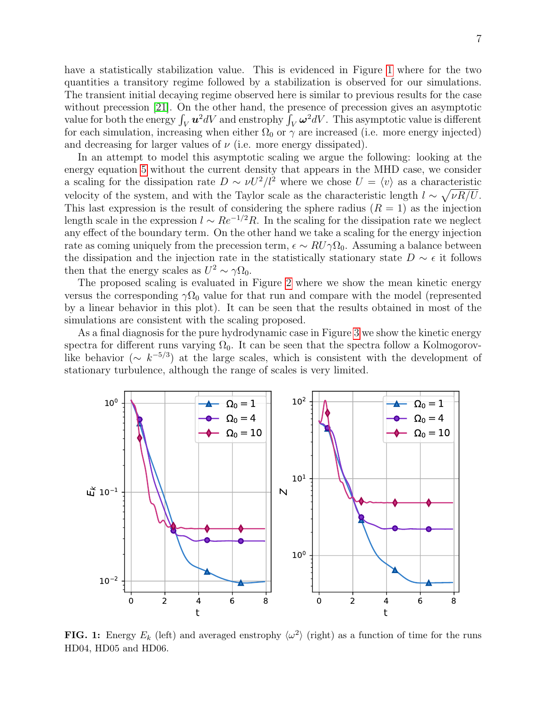have a statistically stabilization value. This is evidenced in Figure [1](#page-6-0) where for the two quantities a transitory regime followed by a stabilization is observed for our simulations. The transient initial decaying regime observed here is similar to previous results for the case without precession [\[21\]](#page-13-8). On the other hand, the presence of precession gives an asymptotic value for both the energy  $\int_V \bm{u}^2 dV$  and enstrophy  $\int_V \bm{\omega}^2 dV$ . This asymptotic value is different for each simulation, increasing when either  $\Omega_0$  or  $\gamma$  are increased (i.e. more energy injected) and decreasing for larger values of  $\nu$  (i.e. more energy dissipated).

In an attempt to model this asymptotic scaling we argue the following: looking at the energy equation [5](#page-1-3) without the current density that appears in the MHD case, we consider a scaling for the dissipation rate  $D \sim \nu U^2/l^2$  where we chose  $U = \langle v \rangle$  as a characteristic velocity of the system, and with the Taylor scale as the characteristic length  $l \sim \sqrt{\nu R/U}$ . This last expression is the result of considering the sphere radius  $(R = 1)$  as the injection length scale in the expression  $l \sim Re^{-1/2}R$ . In the scaling for the dissipation rate we neglect any effect of the boundary term. On the other hand we take a scaling for the energy injection rate as coming uniquely from the precession term,  $\epsilon \sim RU\gamma\Omega_0$ . Assuming a balance between the dissipation and the injection rate in the statistically stationary state  $D \sim \epsilon$  it follows then that the energy scales as  $U^2 \sim \gamma \Omega_0$ .

The proposed scaling is evaluated in Figure [2](#page-7-0) where we show the mean kinetic energy versus the corresponding  $\gamma\Omega_0$  value for that run and compare with the model (represented by a linear behavior in this plot). It can be seen that the results obtained in most of the simulations are consistent with the scaling proposed.

As a final diagnosis for the pure hydrodynamic case in Figure [3](#page-7-1) we show the kinetic energy spectra for different runs varying  $\Omega_0$ . It can be seen that the spectra follow a Kolmogorovlike behavior ( $\sim k^{-5/3}$ ) at the large scales, which is consistent with the development of stationary turbulence, although the range of scales is very limited.

<span id="page-6-0"></span>

FIG. 1: Energy  $E_k$  (left) and averaged enstrophy  $\langle \omega^2 \rangle$  (right) as a function of time for the runs HD04, HD05 and HD06.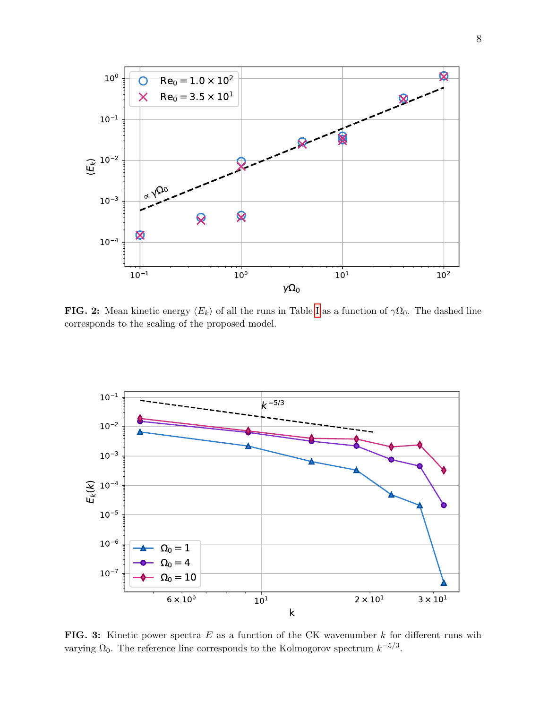<span id="page-7-0"></span>

**FIG. 2:** Mean kinetic energy  $\langle E_k \rangle$  of all the runs in Table [I](#page-4-0) as a function of  $\gamma \Omega_0$ . The dashed line corresponds to the scaling of the proposed model.

<span id="page-7-1"></span>

FIG. 3: Kinetic power spectra  $E$  as a function of the CK wavenumber  $k$  for different runs wih varying  $\Omega_0$ . The reference line corresponds to the Kolmogorov spectrum  $k^{-5/3}$ .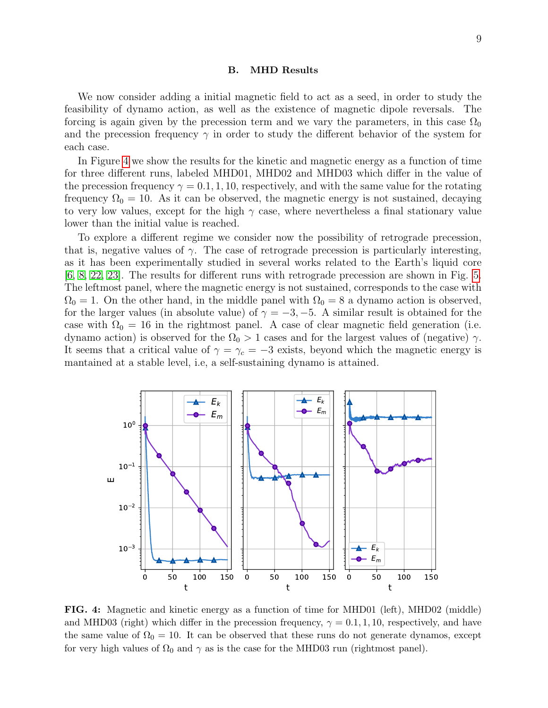#### B. MHD Results

We now consider adding a initial magnetic field to act as a seed, in order to study the feasibility of dynamo action, as well as the existence of magnetic dipole reversals. The forcing is again given by the precession term and we vary the parameters, in this case  $\Omega_0$ and the precession frequency  $\gamma$  in order to study the different behavior of the system for each case.

In Figure [4](#page-8-0) we show the results for the kinetic and magnetic energy as a function of time for three different runs, labeled MHD01, MHD02 and MHD03 which differ in the value of the precession frequency  $\gamma = 0.1, 1, 10$ , respectively, and with the same value for the rotating frequency  $\Omega_0 = 10$ . As it can be observed, the magnetic energy is not sustained, decaying to very low values, except for the high  $\gamma$  case, where nevertheless a final stationary value lower than the initial value is reached.

To explore a different regime we consider now the possibility of retrograde precession, that is, negative values of  $\gamma$ . The case of retrograde precession is particularly interesting, as it has been experimentally studied in several works related to the Earth's liquid core [\[6,](#page-12-2) [8,](#page-13-9) [22,](#page-13-10) [23\]](#page-13-11). The results for different runs with retrograde precession are shown in Fig. [5.](#page-9-0) The leftmost panel, where the magnetic energy is not sustained, corresponds to the case with  $\Omega_0 = 1$ . On the other hand, in the middle panel with  $\Omega_0 = 8$  a dynamo action is observed, for the larger values (in absolute value) of  $\gamma = -3, -5$ . A similar result is obtained for the case with  $\Omega_0 = 16$  in the rightmost panel. A case of clear magnetic field generation (i.e. dynamo action) is observed for the  $\Omega_0 > 1$  cases and for the largest values of (negative)  $\gamma$ . It seems that a critical value of  $\gamma = \gamma_c = -3$  exists, beyond which the magnetic energy is mantained at a stable level, i.e, a self-sustaining dynamo is attained.

<span id="page-8-0"></span>

FIG. 4: Magnetic and kinetic energy as a function of time for MHD01 (left), MHD02 (middle) and MHD03 (right) which differ in the precession frequency,  $\gamma = 0.1, 1, 10$ , respectively, and have the same value of  $\Omega_0 = 10$ . It can be observed that these runs do not generate dynamos, except for very high values of  $\Omega_0$  and  $\gamma$  as is the case for the MHD03 run (rightmost panel).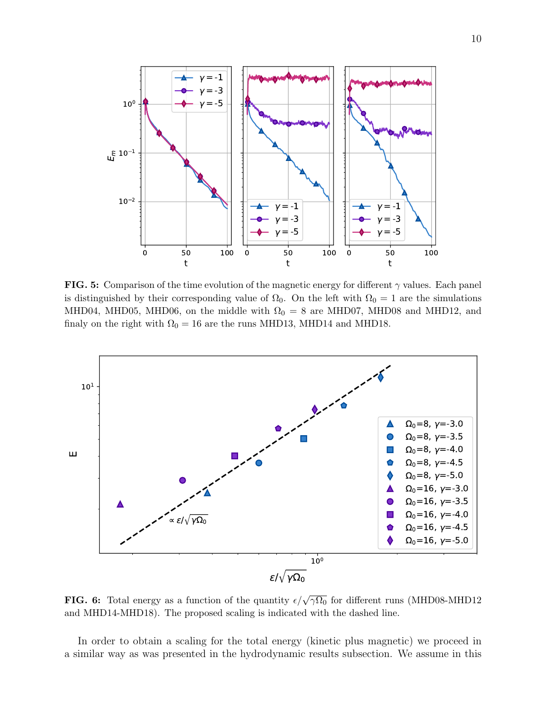<span id="page-9-0"></span>

**FIG. 5:** Comparison of the time evolution of the magnetic energy for different  $\gamma$  values. Each panel is distinguished by their corresponding value of  $\Omega_0$ . On the left with  $\Omega_0 = 1$  are the simulations MHD04, MHD05, MHD06, on the middle with  $\Omega_0 = 8$  are MHD07, MHD08 and MHD12, and finaly on the right with  $\Omega_0 = 16$  are the runs MHD13, MHD14 and MHD18.

<span id="page-9-1"></span>

**FIG. 6:** Total energy as a function of the quantity  $\epsilon/\sqrt{\gamma\Omega_0}$  for different runs (MHD08-MHD12 and MHD14-MHD18). The proposed scaling is indicated with the dashed line.

In order to obtain a scaling for the total energy (kinetic plus magnetic) we proceed in a similar way as was presented in the hydrodynamic results subsection. We assume in this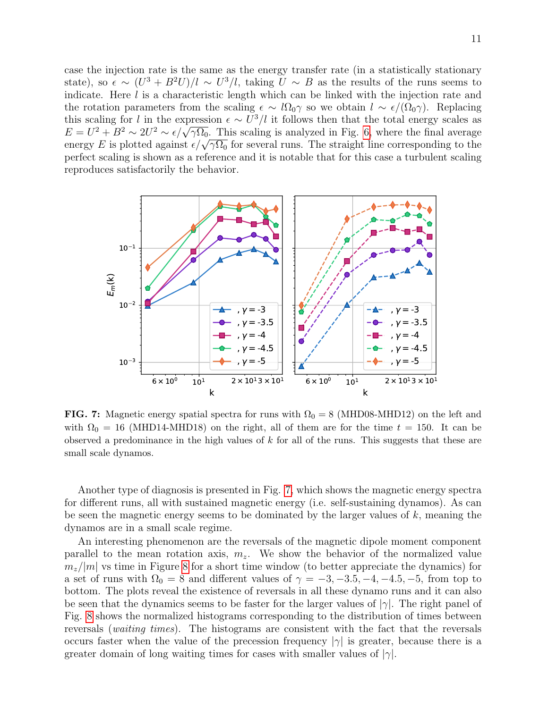case the injection rate is the same as the energy transfer rate (in a statistically stationary state), so  $\epsilon \sim (U^3 + B^2 U)/l \sim U^3/l$ , taking  $U \sim B$  as the results of the runs seems to indicate. Here l is a characteristic length which can be linked with the injection rate and the rotation parameters from the scaling  $\epsilon \sim l\Omega_0\gamma$  so we obtain  $l \sim \epsilon/(\Omega_0\gamma)$ . Replacing this scaling for l in the expression  $\epsilon \sim U^3/l$  it follows then that the total energy scales as this scaling for t in the expression  $\epsilon \sim U^2/t$  it follows then that the total energy scales as  $E = U^2 + B^2 \sim 2U^2 \sim \epsilon/\sqrt{\gamma\Omega_0}$ . This scaling is analyzed in Fig. [6,](#page-9-1) where the final average  $E = U^+ + B^- \sim 2U^- \sim \epsilon/\sqrt{\gamma} \Omega_0$ . This scaling is analyzed in Fig. 6, where the final average energy E is plotted against  $\epsilon/\sqrt{\gamma \Omega_0}$  for several runs. The straight line corresponding to the perfect scaling is shown as a reference and it is notable that for this case a turbulent scaling reproduces satisfactorily the behavior.

<span id="page-10-0"></span>

FIG. 7: Magnetic energy spatial spectra for runs with  $\Omega_0 = 8 \text{ (MHD08-MHD12)}$  on the left and with  $\Omega_0 = 16$  (MHD14-MHD18) on the right, all of them are for the time  $t = 150$ . It can be observed a predominance in the high values of  $k$  for all of the runs. This suggests that these are small scale dynamos.

Another type of diagnosis is presented in Fig. [7,](#page-10-0) which shows the magnetic energy spectra for different runs, all with sustained magnetic energy (i.e. self-sustaining dynamos). As can be seen the magnetic energy seems to be dominated by the larger values of  $k$ , meaning the dynamos are in a small scale regime.

An interesting phenomenon are the reversals of the magnetic dipole moment component parallel to the mean rotation axis,  $m_z$ . We show the behavior of the normalized value  $m_z/|m|$  vs time in Figure [8](#page-11-1) for a short time window (to better appreciate the dynamics) for a set of runs with  $\Omega_0 = 8$  and different values of  $\gamma = -3, -3.5, -4, -4.5, -5$ , from top to bottom. The plots reveal the existence of reversals in all these dynamo runs and it can also be seen that the dynamics seems to be faster for the larger values of  $|\gamma|$ . The right panel of Fig. [8](#page-11-1) shows the normalized histograms corresponding to the distribution of times between reversals (waiting times). The histograms are consistent with the fact that the reversals occurs faster when the value of the precession frequency  $|\gamma|$  is greater, because there is a greater domain of long waiting times for cases with smaller values of  $|\gamma|$ .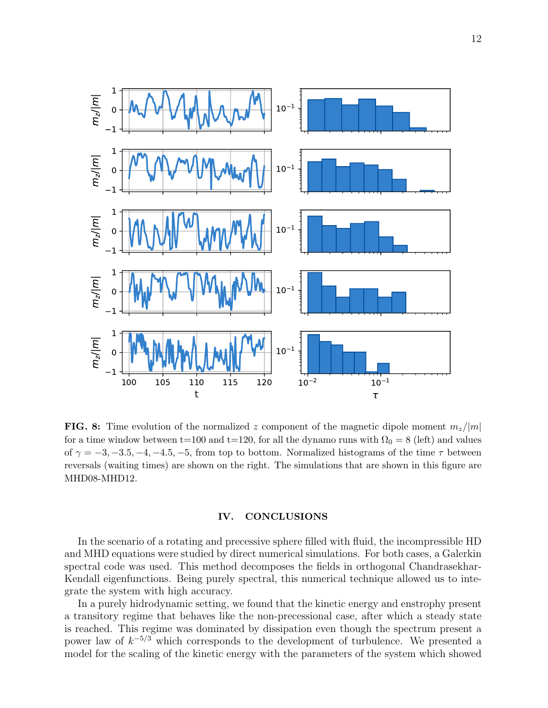<span id="page-11-1"></span>

**FIG. 8:** Time evolution of the normalized z component of the magnetic dipole moment  $m_z/|m|$ for a time window between t=100 and t=120, for all the dynamo runs with  $\Omega_0 = 8$  (left) and values of  $\gamma = -3, -3.5, -4, -4.5, -5$ , from top to bottom. Normalized histograms of the time  $\tau$  between reversals (waiting times) are shown on the right. The simulations that are shown in this figure are MHD08-MHD12.

# <span id="page-11-0"></span>IV. CONCLUSIONS

In the scenario of a rotating and precessive sphere filled with fluid, the incompressible HD and MHD equations were studied by direct numerical simulations. For both cases, a Galerkin spectral code was used. This method decomposes the fields in orthogonal Chandrasekhar-Kendall eigenfunctions. Being purely spectral, this numerical technique allowed us to integrate the system with high accuracy.

In a purely hidrodynamic setting, we found that the kinetic energy and enstrophy present a transitory regime that behaves like the non-precessional case, after which a steady state is reached. This regime was dominated by dissipation even though the spectrum present a power law of  $k^{-5/3}$  which corresponds to the development of turbulence. We presented a model for the scaling of the kinetic energy with the parameters of the system which showed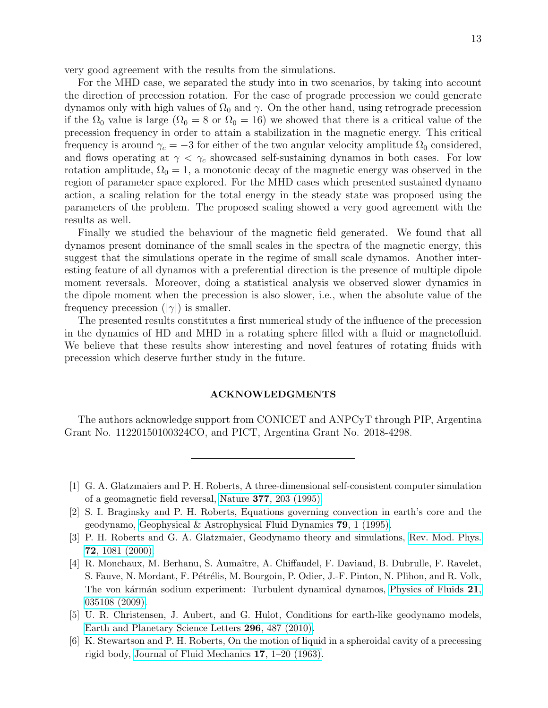very good agreement with the results from the simulations.

For the MHD case, we separated the study into in two scenarios, by taking into account the direction of precession rotation. For the case of prograde precession we could generate dynamos only with high values of  $\Omega_0$  and  $\gamma$ . On the other hand, using retrograde precession if the  $\Omega_0$  value is large  $(\Omega_0 = 8 \text{ or } \Omega_0 = 16)$  we showed that there is a critical value of the precession frequency in order to attain a stabilization in the magnetic energy. This critical frequency is around  $\gamma_c = -3$  for either of the two angular velocity amplitude  $\Omega_0$  considered, and flows operating at  $\gamma < \gamma_c$  showcased self-sustaining dynamos in both cases. For low rotation amplitude,  $\Omega_0 = 1$ , a monotonic decay of the magnetic energy was observed in the region of parameter space explored. For the MHD cases which presented sustained dynamo action, a scaling relation for the total energy in the steady state was proposed using the parameters of the problem. The proposed scaling showed a very good agreement with the results as well.

Finally we studied the behaviour of the magnetic field generated. We found that all dynamos present dominance of the small scales in the spectra of the magnetic energy, this suggest that the simulations operate in the regime of small scale dynamos. Another interesting feature of all dynamos with a preferential direction is the presence of multiple dipole moment reversals. Moreover, doing a statistical analysis we observed slower dynamics in the dipole moment when the precession is also slower, i.e., when the absolute value of the frequency precession  $(|\gamma|)$  is smaller.

The presented results constitutes a first numerical study of the influence of the precession in the dynamics of HD and MHD in a rotating sphere filled with a fluid or magnetofluid. We believe that these results show interesting and novel features of rotating fluids with precession which deserve further study in the future.

# ACKNOWLEDGMENTS

The authors acknowledge support from CONICET and ANPCyT through PIP, Argentina Grant No. 11220150100324CO, and PICT, Argentina Grant No. 2018-4298.

- [3] P. H. Roberts and G. A. Glatzmaier, Geodynamo theory and simulations, [Rev. Mod. Phys.](https://doi.org/10.1103/RevModPhys.72.1081) 72[, 1081 \(2000\).](https://doi.org/10.1103/RevModPhys.72.1081)
- <span id="page-12-3"></span>[4] R. Monchaux, M. Berhanu, S. Aumaˆıtre, A. Chiffaudel, F. Daviaud, B. Dubrulle, F. Ravelet, S. Fauve, N. Mordant, F. Pétrélis, M. Bourgoin, P. Odier, J.-F. Pinton, N. Plihon, and R. Volk, The von kármán sodium experiment: Turbulent dynamical dynamos, [Physics of Fluids](https://doi.org/10.1063/1.3085724) 21, [035108 \(2009\).](https://doi.org/10.1063/1.3085724)
- <span id="page-12-1"></span>[5] U. R. Christensen, J. Aubert, and G. Hulot, Conditions for earth-like geodynamo models, [Earth and Planetary Science Letters](https://doi.org/10.1016/j.epsl.2010.06.009) 296, 487 (2010).
- <span id="page-12-2"></span>[6] K. Stewartson and P. H. Roberts, On the motion of liquid in a spheroidal cavity of a precessing rigid body, [Journal of Fluid Mechanics](https://doi.org/10.1017/S0022112063001063) 17, 1–20 (1963).

<span id="page-12-0"></span><sup>[1]</sup> G. A. Glatzmaiers and P. H. Roberts, A three-dimensional self-consistent computer simulation of a geomagnetic field reversal, Nature 377[, 203 \(1995\).](https://doi.org/10.1038/377203a0)

<sup>[2]</sup> S. I. Braginsky and P. H. Roberts, Equations governing convection in earth's core and the geodynamo, [Geophysical & Astrophysical Fluid Dynamics](https://doi.org/10.1080/03091929508228992) 79, 1 (1995).